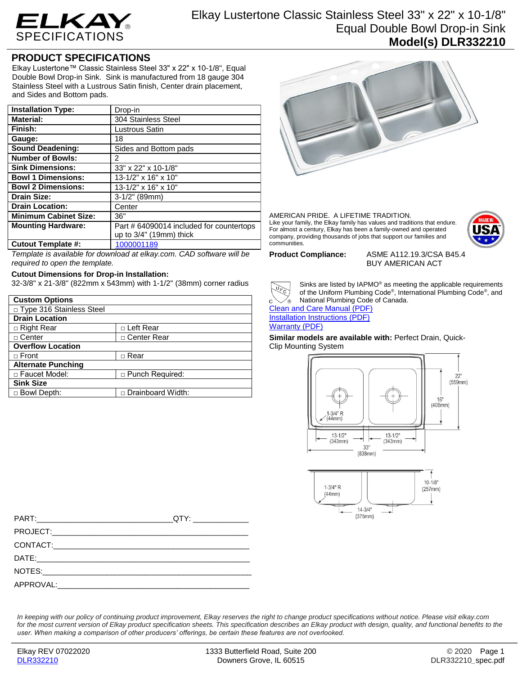

## Elkay Lustertone Classic Stainless Steel 33" x 22" x 10-1/8" Equal Double Bowl Drop-in Sink **Model(s) DLR332210**

## **PRODUCT SPECIFICATIONS**

Elkay Lustertone™ Classic Stainless Steel 33" x 22" x 10-1/8", Equal Double Bowl Drop-in Sink. Sink is manufactured from 18 gauge 304 Stainless Steel with a Lustrous Satin finish, Center drain placement, and Sides and Bottom pads.

| <b>Installation Type:</b>    | Drop-in                                  |
|------------------------------|------------------------------------------|
| <b>Material:</b>             | 304 Stainless Steel                      |
| Finish:                      | Lustrous Satin                           |
| Gauge:                       | 18                                       |
| <b>Sound Deadening:</b>      | Sides and Bottom pads                    |
| <b>Number of Bowls:</b>      | 2                                        |
| <b>Sink Dimensions:</b>      | 33" x 22" x 10-1/8"                      |
| <b>Bowl 1 Dimensions:</b>    | 13-1/2" x 16" x 10"                      |
| <b>Bowl 2 Dimensions:</b>    | 13-1/2" x 16" x 10"                      |
| <b>Drain Size:</b>           | $3-1/2"$ (89mm)                          |
| <b>Drain Location:</b>       | Center                                   |
| <b>Minimum Cabinet Size:</b> | 36"                                      |
| <b>Mounting Hardware:</b>    | Part # 64090014 included for countertops |
|                              | up to 3/4" (19mm) thick                  |
| <b>Cutout Template #:</b>    | 1000001189                               |

*Template is available for download at elkay.com. CAD software will be required to open the template.*

## **Cutout Dimensions for Drop-in Installation:**

32-3/8" x 21-3/8" (822mm x 543mm) with 1-1/2" (38mm) corner radius

| <b>Custom Options</b>      |                        |  |
|----------------------------|------------------------|--|
| □ Type 316 Stainless Steel |                        |  |
| <b>Drain Location</b>      |                        |  |
| $\Box$ Right Rear          | □ Left Rear            |  |
| $\Box$ Center              | □ Center Rear          |  |
| <b>Overflow Location</b>   |                        |  |
| $\Box$ Front               | □ Rear                 |  |
| <b>Alternate Punching</b>  |                        |  |
| □ Faucet Model:            | $\Box$ Punch Required: |  |
| <b>Sink Size</b>           |                        |  |
| □ Bowl Depth:              | Drainboard Width:      |  |



AMERICAN PRIDE. A LIFETIME TRADITION. Like your family, the Elkay family has values and traditions that endure. For almost a century, Elkay has been a family-owned and operated company, providing thousands of jobs that support our families and communities.



**Product Compliance:** ASME A112.19.3/CSA B45.4 BUY AMERICAN ACT



Sinks are listed by IAPMO® as meeting the applicable requirements of the Uniform Plumbing Code® , International Plumbing Code® , and National Plumbing Code of Canada.

[Clean and Care Manual \(PDF\)](http://www.elkayfiles.com/care-cleaning-install-warranty-sheets/1000005386.pdf) [Installation Instructions \(PDF\)](http://www.elkayfiles.com/care-cleaning-install-warranty-sheets/1000005236.pdf) [Warranty](http://www.elkayfiles.com/care-cleaning-install-warranty-sheets/1000005130.pdf) (PDF)

**Similar models are available with:** Perfect Drain, Quick-Clip Mounting System



| QTY:________________ |
|----------------------|
|                      |
|                      |
|                      |
|                      |
|                      |

*In keeping with our policy of continuing product improvement, Elkay reserves the right to change product specifications without notice. Please visit elkay.com*  for the most current version of Elkay product specification sheets. This specification describes an Elkay product with design, quality, and functional benefits to the *user. When making a comparison of other producers' offerings, be certain these features are not overlooked.*